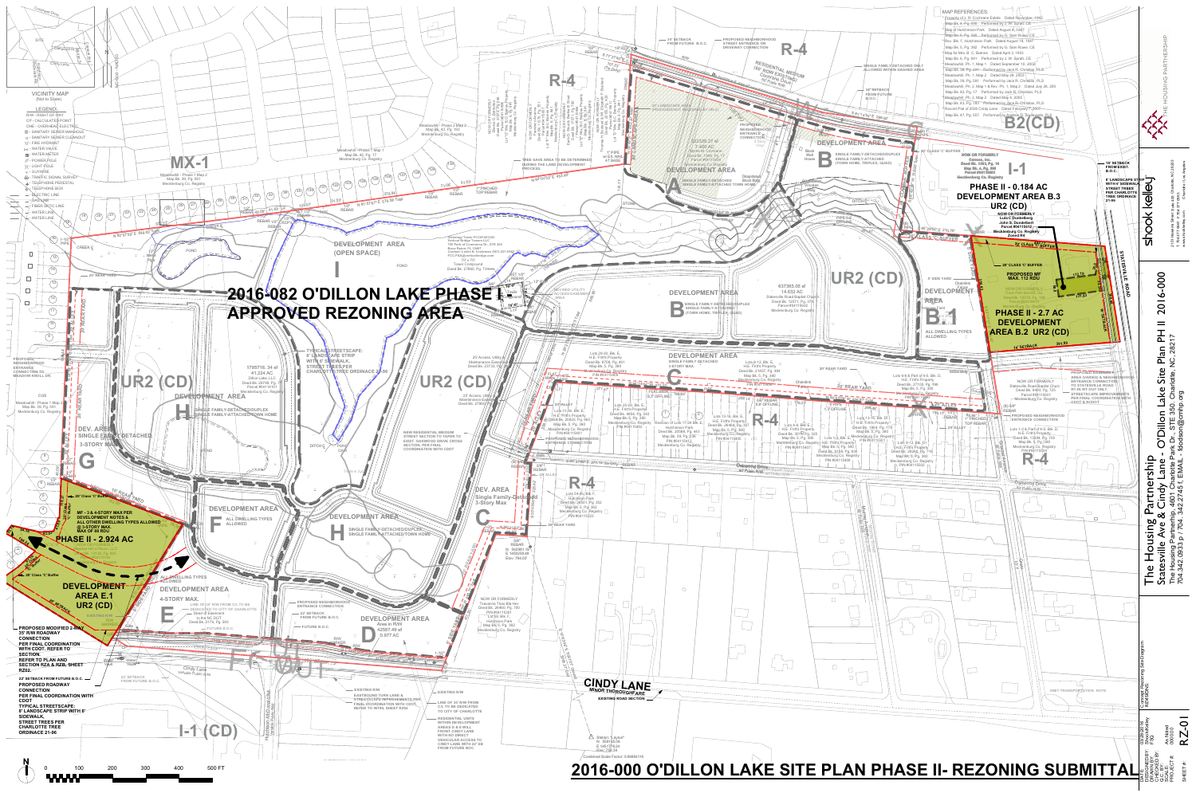